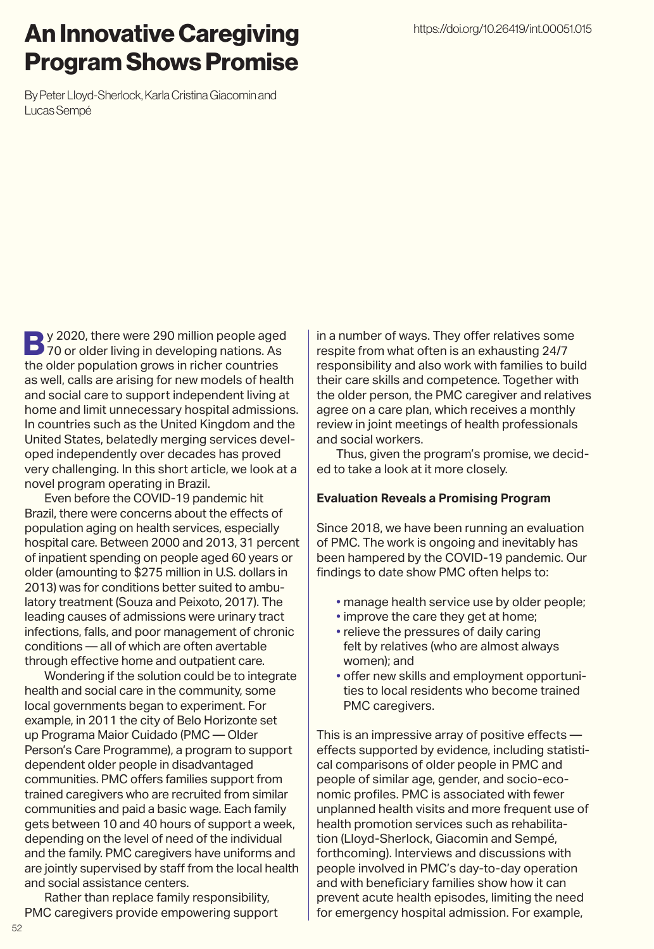## An Innovative Caregiving Program Shows Promise

By Peter Lloyd-Sherlock, Karla Cristina Giacomin and Lucas Sempé

**By 2020, there were 290 million people aged<br>170 or older living in developing nations. As** the older population grows in richer countries as well, calls are arising for new models of health and social care to support independent living at home and limit unnecessary hospital admissions. In countries such as the United Kingdom and the United States, belatedly merging services developed independently over decades has proved very challenging. In this short article, we look at a novel program operating in Brazil.

Even before the COVID-19 pandemic hit Brazil, there were concerns about the effects of population aging on health services, especially hospital care. Between 2000 and 2013, 31 percent of inpatient spending on people aged 60 years or older (amounting to \$275 million in U.S. dollars in 2013) was for conditions better suited to ambulatory treatment (Souza and Peixoto, 2017). The leading causes of admissions were urinary tract infections, falls, and poor management of chronic conditions — all of which are often avertable through effective home and outpatient care.

Wondering if the solution could be to integrate health and social care in the community, some local governments began to experiment. For example, in 2011 the city of Belo Horizonte set up Programa Maior Cuidado (PMC — Older Person's Care Programme), a program to support dependent older people in disadvantaged communities. PMC offers families support from trained caregivers who are recruited from similar communities and paid a basic wage. Each family gets between 10 and 40 hours of support a week, depending on the level of need of the individual and the family. PMC caregivers have uniforms and are jointly supervised by staff from the local health and social assistance centers.

Rather than replace family responsibility, PMC caregivers provide empowering support in a number of ways. They offer relatives some respite from what often is an exhausting 24/7 responsibility and also work with families to build their care skills and competence. Together with the older person, the PMC caregiver and relatives agree on a care plan, which receives a monthly review in joint meetings of health professionals and social workers.

Thus, given the program's promise, we decided to take a look at it more closely.

### **Evaluation Reveals a Promising Program**

Since 2018, we have been running an evaluation of PMC. The work is ongoing and inevitably has been hampered by the COVID-19 pandemic. Our findings to date show PMC often helps to:

- manage health service use by older people;
- improve the care they get at home:
- relieve the pressures of daily caring felt by relatives (who are almost always women); and
- offer new skills and employment opportunities to local residents who become trained PMC caregivers.

This is an impressive array of positive effects effects supported by evidence, including statistical comparisons of older people in PMC and people of similar age, gender, and socio-economic profiles. PMC is associated with fewer unplanned health visits and more frequent use of health promotion services such as rehabilitation (Lloyd-Sherlock, Giacomin and Sempé, forthcoming). Interviews and discussions with people involved in PMC's day-to-day operation and with beneficiary families show how it can prevent acute health episodes, limiting the need for emergency hospital admission. For example,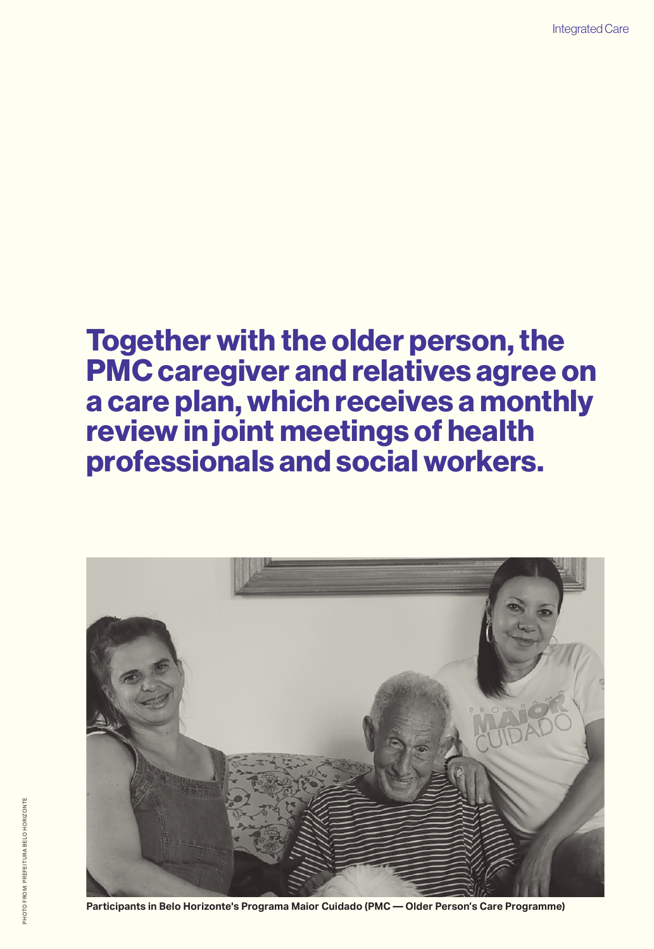# Together with the older person, the PMC caregiver and relatives agree on a care plan, which receives a monthly review in joint meetings of health professionals and social workers.



**Participants in Belo Horizonte's Programa Maior Cuidado (PMC — Older Person's Care Programme)**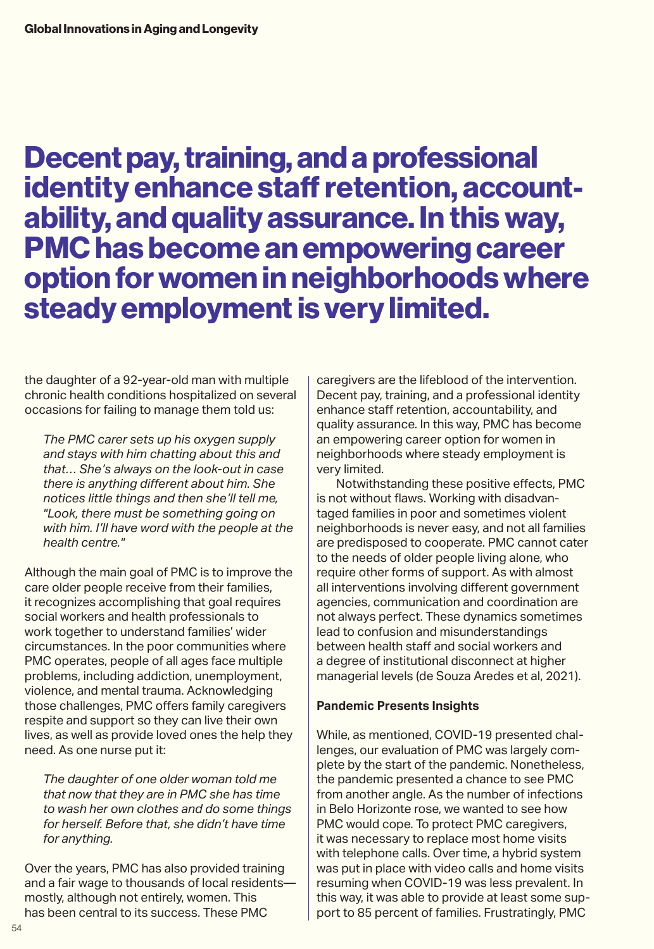Decent pay, training, and a professional identity enhance staff retention, accountability, and quality assurance. In this way, PMC has become an empowering career option for women in neighborhoods where steady employment is very limited.

the daughter of a 92-year-old man with multiple chronic health conditions hospitalized on several occasions for failing to manage them told us:

*The PMC carer sets up his oxygen supply and stays with him chatting about this and that… She's always on the look-out in case there is anything different about him. She notices little things and then she'll tell me, "Look, there must be something going on with him. I'll have word with the people at the health centre."* 

Although the main goal of PMC is to improve the care older people receive from their families, it recognizes accomplishing that goal requires social workers and health professionals to work together to understand families' wider circumstances. In the poor communities where PMC operates, people of all ages face multiple problems, including addiction, unemployment, violence, and mental trauma. Acknowledging those challenges, PMC offers family caregivers respite and support so they can live their own lives, as well as provide loved ones the help they need. As one nurse put it:

*The daughter of one older woman told me that now that they are in PMC she has time to wash her own clothes and do some things for herself. Before that, she didn't have time for anything.* 

Over the years, PMC has also provided training and a fair wage to thousands of local residents mostly, although not entirely, women. This has been central to its success. These PMC

caregivers are the lifeblood of the intervention. Decent pay, training, and a professional identity enhance staff retention, accountability, and quality assurance. In this way, PMC has become an empowering career option for women in neighborhoods where steady employment is very limited.

Notwithstanding these positive effects, PMC is not without flaws. Working with disadvantaged families in poor and sometimes violent neighborhoods is never easy, and not all families are predisposed to cooperate. PMC cannot cater to the needs of older people living alone, who require other forms of support. As with almost all interventions involving different government agencies, communication and coordination are not always perfect. These dynamics sometimes lead to confusion and misunderstandings between health staff and social workers and a degree of institutional disconnect at higher managerial levels (de Souza Aredes et al, 2021).

### **Pandemic Presents Insights**

While, as mentioned, COVID-19 presented challenges, our evaluation of PMC was largely complete by the start of the pandemic. Nonetheless, the pandemic presented a chance to see PMC from another angle. As the number of infections in Belo Horizonte rose, we wanted to see how PMC would cope. To protect PMC caregivers, it was necessary to replace most home visits with telephone calls. Over time, a hybrid system was put in place with video calls and home visits resuming when COVID-19 was less prevalent. In this way, it was able to provide at least some support to 85 percent of families. Frustratingly, PMC